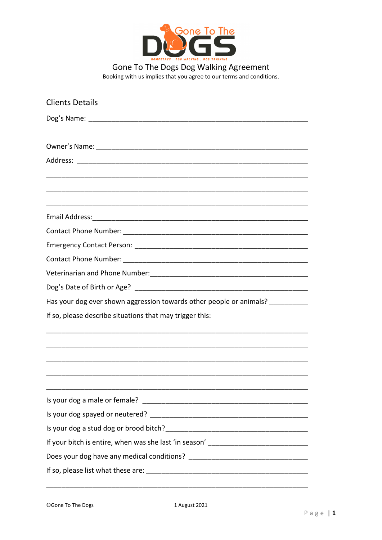

Gone To The Dogs Dog Walking Agreement Booking with us implies that you agree to our terms and conditions.

| <b>Clients Details</b>                                                                                              |
|---------------------------------------------------------------------------------------------------------------------|
|                                                                                                                     |
|                                                                                                                     |
|                                                                                                                     |
|                                                                                                                     |
|                                                                                                                     |
|                                                                                                                     |
|                                                                                                                     |
|                                                                                                                     |
|                                                                                                                     |
|                                                                                                                     |
|                                                                                                                     |
| Veterinarian and Phone Number: \\community\\community\\community\\community\\community\\community\\community\\commu |
|                                                                                                                     |
| Has your dog ever shown aggression towards other people or animals? ___________                                     |
| If so, please describe situations that may trigger this:                                                            |
|                                                                                                                     |
|                                                                                                                     |
|                                                                                                                     |
|                                                                                                                     |
|                                                                                                                     |
|                                                                                                                     |
|                                                                                                                     |
|                                                                                                                     |
|                                                                                                                     |
|                                                                                                                     |
|                                                                                                                     |
|                                                                                                                     |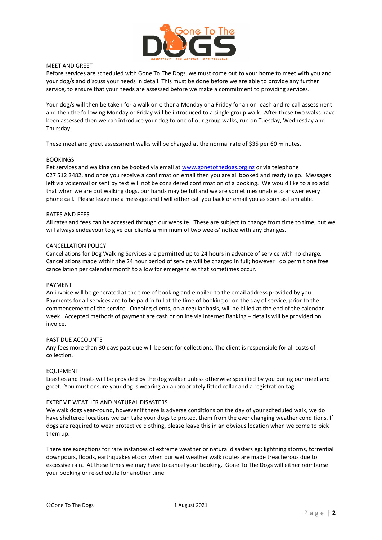

## MEET AND GREET

Before services are scheduled with Gone To The Dogs, we must come out to your home to meet with you and your dog/s and discuss your needs in detail. This must be done before we are able to provide any further service, to ensure that your needs are assessed before we make a commitment to providing services.

Your dog/s will then be taken for a walk on either a Monday or a Friday for an on leash and re-call assessment and then the following Monday or Friday will be introduced to a single group walk. After these two walks have been assessed then we can introduce your dog to one of our group walks, run on Tuesday, Wednesday and Thursday.

These meet and greet assessment walks will be charged at the normal rate of \$35 per 60 minutes.

### BOOKINGS

Pet services and walking can be booked via email at www.gonetothedogs.org.nz or via telephone 027 512 2482, and once you receive a confirmation email then you are all booked and ready to go. Messages left via voicemail or sent by text will not be considered confirmation of a booking. We would like to also add that when we are out walking dogs, our hands may be full and we are sometimes unable to answer every phone call. Please leave me a message and I will either call you back or email you as soon as I am able.

# RATES AND FEES

All rates and fees can be accessed through our website. These are subject to change from time to time, but we will always endeavour to give our clients a minimum of two weeks' notice with any changes.

### CANCELLATION POLICY

Cancellations for Dog Walking Services are permitted up to 24 hours in advance of service with no charge. Cancellations made within the 24 hour period of service will be charged in full; however I do permit one free cancellation per calendar month to allow for emergencies that sometimes occur.

### PAYMENT

An invoice will be generated at the time of booking and emailed to the email address provided by you. Payments for all services are to be paid in full at the time of booking or on the day of service, prior to the commencement of the service. Ongoing clients, on a regular basis, will be billed at the end of the calendar week. Accepted methods of payment are cash or online via Internet Banking – details will be provided on invoice.

### PAST DUE ACCOUNTS

Any fees more than 30 days past due will be sent for collections. The client is responsible for all costs of collection.

# **EQUIPMENT**

Leashes and treats will be provided by the dog walker unless otherwise specified by you during our meet and greet. You must ensure your dog is wearing an appropriately fitted collar and a registration tag.

### EXTREME WEATHER AND NATURAL DISASTERS

We walk dogs year-round, however if there is adverse conditions on the day of your scheduled walk, we do have sheltered locations we can take your dogs to protect them from the ever changing weather conditions. If dogs are required to wear protective clothing, please leave this in an obvious location when we come to pick them up.

There are exceptions for rare instances of extreme weather or natural disasters eg: lightning storms, torrential downpours, floods, earthquakes etc or when our wet weather walk routes are made treacherous due to excessive rain. At these times we may have to cancel your booking. Gone To The Dogs will either reimburse your booking or re-schedule for another time.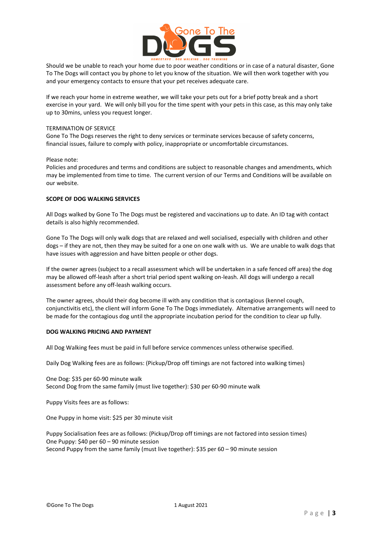

Should we be unable to reach your home due to poor weather conditions or in case of a natural disaster, Gone To The Dogs will contact you by phone to let you know of the situation. We will then work together with you and your emergency contacts to ensure that your pet receives adequate care.

If we reach your home in extreme weather, we will take your pets out for a brief potty break and a short exercise in your yard. We will only bill you for the time spent with your pets in this case, as this may only take up to 30mins, unless you request longer.

## TERMINATION OF SERVICE

Gone To The Dogs reserves the right to deny services or terminate services because of safety concerns, financial issues, failure to comply with policy, inappropriate or uncomfortable circumstances.

# Please note:

Policies and procedures and terms and conditions are subject to reasonable changes and amendments, which may be implemented from time to time. The current version of our Terms and Conditions will be available on our website.

# SCOPE OF DOG WALKING SERVICES

All Dogs walked by Gone To The Dogs must be registered and vaccinations up to date. An ID tag with contact details is also highly recommended.

Gone To The Dogs will only walk dogs that are relaxed and well socialised, especially with children and other dogs – if they are not, then they may be suited for a one on one walk with us. We are unable to walk dogs that have issues with aggression and have bitten people or other dogs.

If the owner agrees (subject to a recall assessment which will be undertaken in a safe fenced off area) the dog may be allowed off-leash after a short trial period spent walking on-leash. All dogs will undergo a recall assessment before any off-leash walking occurs.

The owner agrees, should their dog become ill with any condition that is contagious (kennel cough, conjunctivitis etc), the client will inform Gone To The Dogs immediately. Alternative arrangements will need to be made for the contagious dog until the appropriate incubation period for the condition to clear up fully.

# DOG WALKING PRICING AND PAYMENT

All Dog Walking fees must be paid in full before service commences unless otherwise specified.

Daily Dog Walking fees are as follows: (Pickup/Drop off timings are not factored into walking times)

One Dog: \$35 per 60-90 minute walk Second Dog from the same family (must live together): \$30 per 60-90 minute walk

Puppy Visits fees are as follows:

One Puppy in home visit: \$25 per 30 minute visit

Puppy Socialisation fees are as follows: (Pickup/Drop off timings are not factored into session times) One Puppy: \$40 per 60 – 90 minute session Second Puppy from the same family (must live together): \$35 per 60 – 90 minute session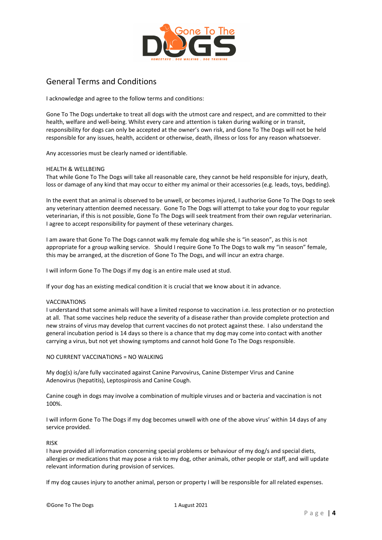

# General Terms and Conditions

I acknowledge and agree to the follow terms and conditions:

Gone To The Dogs undertake to treat all dogs with the utmost care and respect, and are committed to their health, welfare and well-being. Whilst every care and attention is taken during walking or in transit, responsibility for dogs can only be accepted at the owner's own risk, and Gone To The Dogs will not be held responsible for any issues, health, accident or otherwise, death, illness or loss for any reason whatsoever.

Any accessories must be clearly named or identifiable.

# HEALTH & WELLBEING

That while Gone To The Dogs will take all reasonable care, they cannot be held responsible for injury, death, loss or damage of any kind that may occur to either my animal or their accessories (e.g. leads, toys, bedding).

In the event that an animal is observed to be unwell, or becomes injured, I authorise Gone To The Dogs to seek any veterinary attention deemed necessary. Gone To The Dogs will attempt to take your dog to your regular veterinarian, if this is not possible, Gone To The Dogs will seek treatment from their own regular veterinarian. I agree to accept responsibility for payment of these veterinary charges.

I am aware that Gone To The Dogs cannot walk my female dog while she is "in season", as this is not appropriate for a group walking service. Should I require Gone To The Dogs to walk my "in season" female, this may be arranged, at the discretion of Gone To The Dogs, and will incur an extra charge.

I will inform Gone To The Dogs if my dog is an entire male used at stud.

If your dog has an existing medical condition it is crucial that we know about it in advance.

# VACCINATIONS

I understand that some animals will have a limited response to vaccination i.e. less protection or no protection at all. That some vaccines help reduce the severity of a disease rather than provide complete protection and new strains of virus may develop that current vaccines do not protect against these. I also understand the general incubation period is 14 days so there is a chance that my dog may come into contact with another carrying a virus, but not yet showing symptoms and cannot hold Gone To The Dogs responsible.

# NO CURRENT VACCINATIONS = NO WALKING

My dog(s) is/are fully vaccinated against Canine Parvovirus, Canine Distemper Virus and Canine Adenovirus (hepatitis), Leptospirosis and Canine Cough.

Canine cough in dogs may involve a combination of multiple viruses and or bacteria and vaccination is not 100%.

I will inform Gone To The Dogs if my dog becomes unwell with one of the above virus' within 14 days of any service provided.

# RISK

I have provided all information concerning special problems or behaviour of my dog/s and special diets, allergies or medications that may pose a risk to my dog, other animals, other people or staff, and will update relevant information during provision of services.

If my dog causes injury to another animal, person or property I will be responsible for all related expenses.